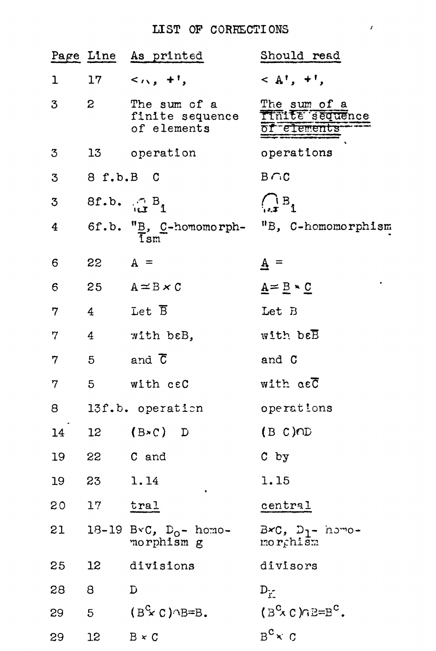## LIST OF CORRECTIONS

|                |                | Page Line As printed                             | Should read                                                                   |
|----------------|----------------|--------------------------------------------------|-------------------------------------------------------------------------------|
| $\mathbf{1}$   |                | $17 \leq \cdots, 17$                             | $\langle A^{\dagger}, + \rangle$                                              |
| 3              | $\mathbf{2}$   | The sum of a<br>finite sequence<br>of elements   | The sum of a<br>Tinite sequence<br>of elements                                |
| 3              |                | 13 operation                                     | operations                                                                    |
| 3              | 8 f.b.B C      |                                                  | $B \cap C$                                                                    |
| 3              |                | 8f.b. $\bigoplus_{i=1}^n B_i$                    | $\begin{array}{c} \left( \begin{array}{c} 1 & B \\ 1 & 1 \end{array} \right)$ |
| $\overline{4}$ |                |                                                  | 6f.b. "B, C-homomorph- "B, C-homomorphism"                                    |
| 6              | $22 \tA =$     |                                                  | $\underline{A}$ =                                                             |
| $\epsilon$     |                | 25 $A \approx B \times C$                        | $\underline{A} = \underline{B} \cdot \underline{C}$                           |
| 7              | 4 <sup>1</sup> | Let $\overline{\mathtt{B}}$                      | Let B                                                                         |
| 7              | 4 <sup>1</sup> | with beB,                                        | $W1$ th be $\overline{B}$                                                     |
| 7              | $5 -$          | and C                                            | and C                                                                         |
| 7              | 5 <sub>5</sub> | with ceC                                         | with asC                                                                      |
| 8              |                | 13f.b. operation                                 | operations                                                                    |
|                |                | 14 12 (B $\ast$ C) D                             | (B C)CD                                                                       |
|                |                | 19 22 C and                                      | $C$ by                                                                        |
| 19             | 23             | 1.14                                             | 1.15                                                                          |
| 20             | 17             | tra1                                             | central                                                                       |
| 21             |                | 18-19 B $\text{C}$ , $D_0$ - homo-<br>morphism g | $B \times C$ , $D_1 -$ homo-<br>morchism                                      |
| 25             | 12             | divisions                                        | divisors                                                                      |
| 28             | 8              | D                                                | $D_{\gamma}$                                                                  |
| 29             | 5              | $(B^c \times C)$ $\cap B = B$ .                  | $18^{\circ} \times C$ ) $nB = B^{\circ}$ .                                    |
| 29             | 12             | $B \times C$                                     | $B^c \times C$                                                                |